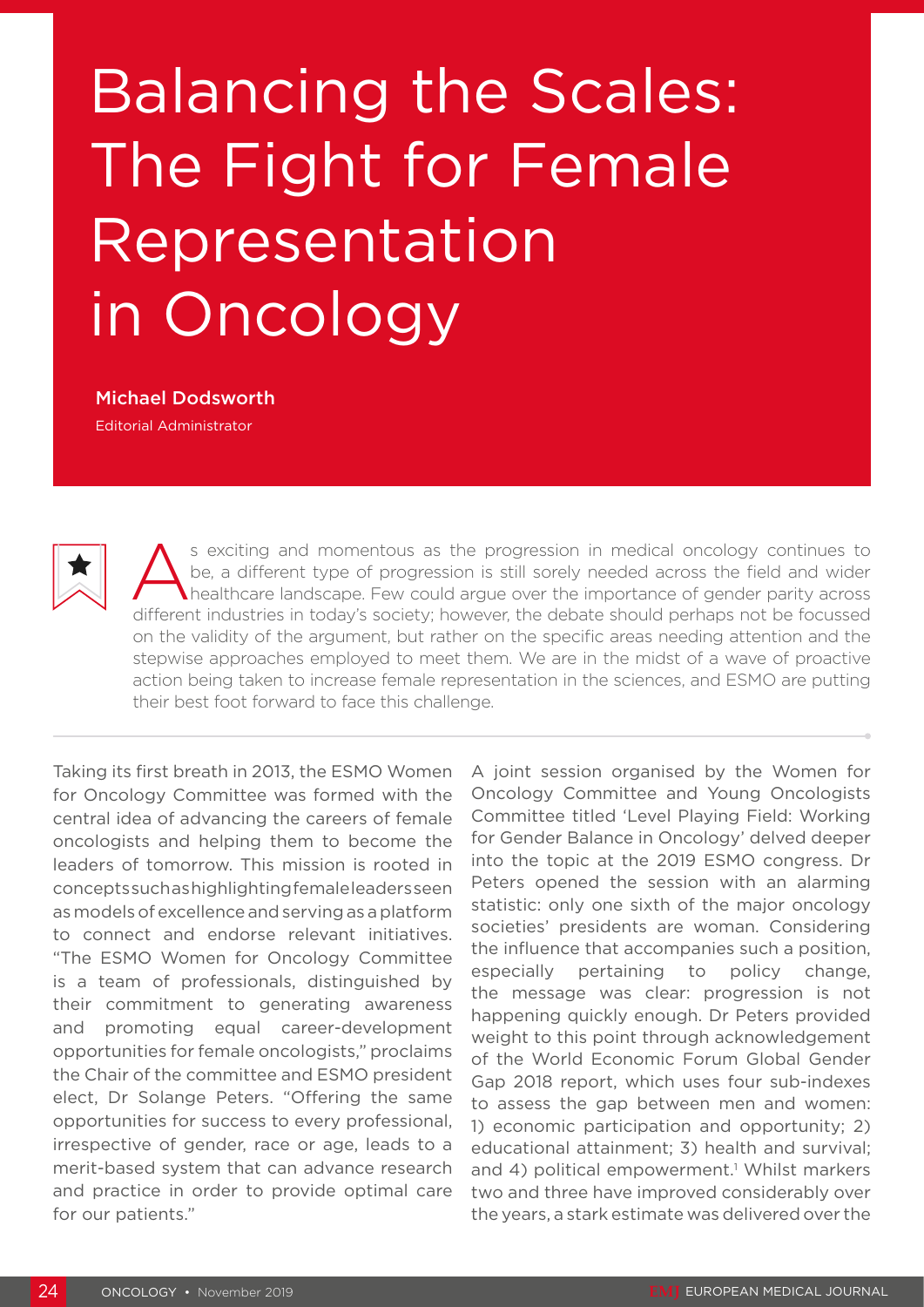## Balancing the Scales: The Fight for Female Representation in Oncology

## Michael Dodsworth

Editorial Administrator



s exciting and momentous as the progression in medical oncology continues to be, a different type of progression is still sorely needed across the field and wider healthcare landscape. Few could argue over the importance of gender parity across different industries in today's society; however, the debate should perhaps not be focussed on the validity of the argument, but rather on the specific areas needing attention and the stepwise approaches employed to meet them. We are in the midst of a wave of proactive action being taken to increase female representation in the sciences, and ESMO are putting their best foot forward to face this challenge.

Taking its first breath in 2013, the ESMO Women for Oncology Committee was formed with the central idea of advancing the careers of female oncologists and helping them to become the leaders of tomorrow. This mission is rooted in concepts such as highlighting female leaders seen as models of excellence and serving as a platform to connect and endorse relevant initiatives. "The ESMO Women for Oncology Committee is a team of professionals, distinguished by their commitment to generating awareness and promoting equal career-development opportunities for female oncologists," proclaims the Chair of the committee and ESMO president elect, Dr Solange Peters. "Offering the same opportunities for success to every professional, irrespective of gender, race or age, leads to a merit-based system that can advance research and practice in order to provide optimal care for our patients."

A joint session organised by the Women for Oncology Committee and Young Oncologists Committee titled 'Level Playing Field: Working for Gender Balance in Oncology' delved deeper into the topic at the 2019 ESMO congress. Dr Peters opened the session with an alarming statistic: only one sixth of the major oncology societies' presidents are woman. Considering the influence that accompanies such a position, especially pertaining to policy change, the message was clear: progression is not happening quickly enough. Dr Peters provided weight to this point through acknowledgement of the World Economic Forum Global Gender Gap 2018 report, which uses four sub-indexes to assess the gap between men and women: 1) economic participation and opportunity; 2) educational attainment; 3) health and survival; and 4) political empowerment.<sup>1</sup> Whilst markers two and three have improved considerably over the years, a stark estimate was delivered over the